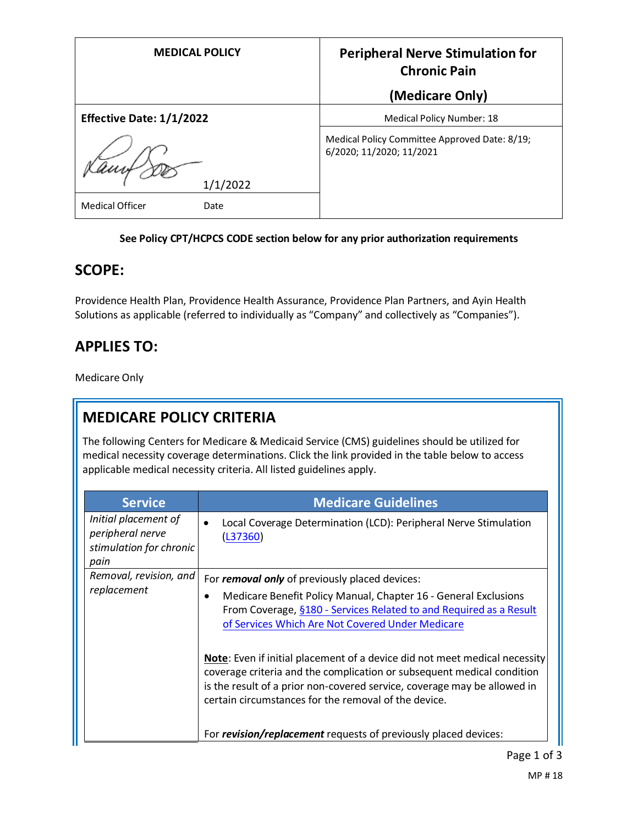| <b>MEDICAL POLICY</b>           | <b>Peripheral Nerve Stimulation for</b><br><b>Chronic Pain</b>            |
|---------------------------------|---------------------------------------------------------------------------|
|                                 | (Medicare Only)                                                           |
| <b>Effective Date: 1/1/2022</b> | Medical Policy Number: 18                                                 |
|                                 | Medical Policy Committee Approved Date: 8/19;<br>6/2020; 11/2020; 11/2021 |
| 1/1/2022                        |                                                                           |
| Medical Officer<br>Date         |                                                                           |

#### **See Policy CPT/HCPCS CODE section below for any prior authorization requirements**

## **SCOPE:**

Providence Health Plan, Providence Health Assurance, Providence Plan Partners, and Ayin Health Solutions as applicable (referred to individually as "Company" and collectively as "Companies").

# **APPLIES TO:**

Medicare Only

# **MEDICARE POLICY CRITERIA**

The following Centers for Medicare & Medicaid Service (CMS) guidelines should be utilized for medical necessity coverage determinations. Click the link provided in the table below to access applicable medical necessity criteria. All listed guidelines apply.

| <b>Service</b>                                                              | <b>Medicare Guidelines</b>                                                                                                                                                                                                                                                               |
|-----------------------------------------------------------------------------|------------------------------------------------------------------------------------------------------------------------------------------------------------------------------------------------------------------------------------------------------------------------------------------|
| Initial placement of<br>peripheral nerve<br>stimulation for chronic<br>pain | Local Coverage Determination (LCD): Peripheral Nerve Stimulation<br>(L37360)                                                                                                                                                                                                             |
| Removal, revision, and<br>replacement                                       | For removal only of previously placed devices:                                                                                                                                                                                                                                           |
|                                                                             | Medicare Benefit Policy Manual, Chapter 16 - General Exclusions<br>٠<br>From Coverage, §180 - Services Related to and Required as a Result<br>of Services Which Are Not Covered Under Medicare                                                                                           |
|                                                                             | Note: Even if initial placement of a device did not meet medical necessity<br>coverage criteria and the complication or subsequent medical condition<br>is the result of a prior non-covered service, coverage may be allowed in<br>certain circumstances for the removal of the device. |
|                                                                             | For revision/replacement requests of previously placed devices:                                                                                                                                                                                                                          |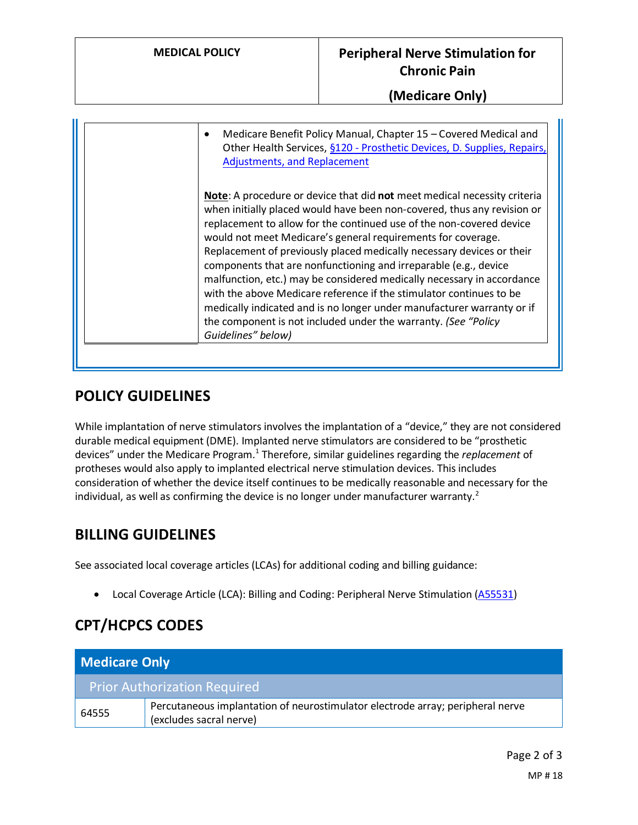**(Medicare Only)**

| Medicare Benefit Policy Manual, Chapter 15 - Covered Medical and<br>$\bullet$<br>Other Health Services, §120 - Prosthetic Devices, D. Supplies, Repairs,<br><b>Adjustments, and Replacement</b>                                                                                                                                                                                                                                                                                                                                                                                                                                                                                                                                                              |
|--------------------------------------------------------------------------------------------------------------------------------------------------------------------------------------------------------------------------------------------------------------------------------------------------------------------------------------------------------------------------------------------------------------------------------------------------------------------------------------------------------------------------------------------------------------------------------------------------------------------------------------------------------------------------------------------------------------------------------------------------------------|
| Note: A procedure or device that did not meet medical necessity criteria<br>when initially placed would have been non-covered, thus any revision or<br>replacement to allow for the continued use of the non-covered device<br>would not meet Medicare's general requirements for coverage.<br>Replacement of previously placed medically necessary devices or their<br>components that are nonfunctioning and irreparable (e.g., device<br>malfunction, etc.) may be considered medically necessary in accordance<br>with the above Medicare reference if the stimulator continues to be<br>medically indicated and is no longer under manufacturer warranty or if<br>the component is not included under the warranty. (See "Policy"<br>Guidelines" below) |

## **POLICY GUIDELINES**

While implantation of nerve stimulators involves the implantation of a "device," they are not considered durable medical equipment (DME). Implanted nerve stimulators are considered to be "prosthetic devices" under the Medicare Program.<sup>1</sup> Therefore, similar guidelines regarding the *replacement* of protheses would also apply to implanted electrical nerve stimulation devices. This includes consideration of whether the device itself continues to be medically reasonable and necessary for the individual, as well as confirming the device is no longer under manufacturer warranty. $2$ 

## **BILLING GUIDELINES**

See associated local coverage articles (LCAs) for additional coding and billing guidance:

• Local Coverage Article (LCA): Billing and Coding: Peripheral Nerve Stimulation [\(A55531\)](https://www.cms.gov/medicare-coverage-database/details/article-details.aspx?articleId=55531)

# **CPT/HCPCS CODES**

| Medicare Only                       |                                                                                                           |
|-------------------------------------|-----------------------------------------------------------------------------------------------------------|
| <b>Prior Authorization Required</b> |                                                                                                           |
| 64555                               | Percutaneous implantation of neurostimulator electrode array; peripheral nerve<br>(excludes sacral nerve) |